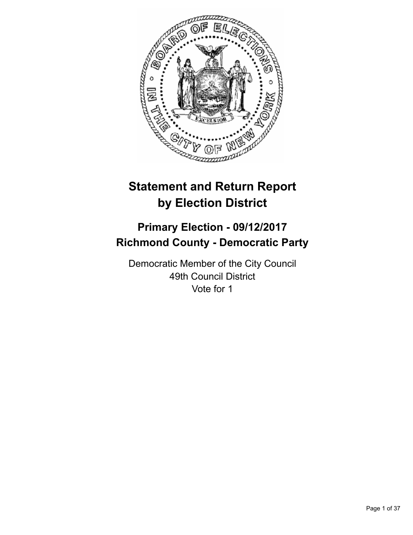

# **Statement and Return Report by Election District**

# **Primary Election - 09/12/2017 Richmond County - Democratic Party**

Democratic Member of the City Council 49th Council District Vote for 1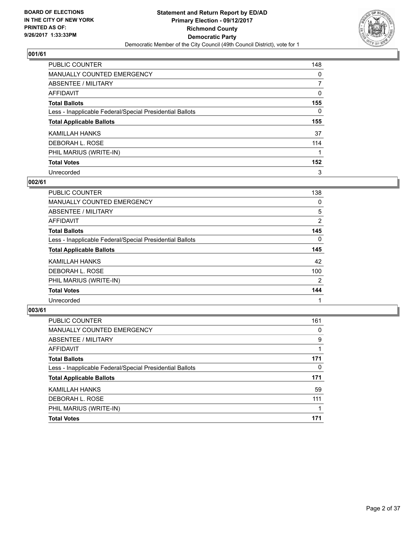

| PUBLIC COUNTER                                           | 148 |
|----------------------------------------------------------|-----|
| <b>MANUALLY COUNTED EMERGENCY</b>                        | 0   |
| ABSENTEE / MILITARY                                      |     |
| AFFIDAVIT                                                | 0   |
| <b>Total Ballots</b>                                     | 155 |
| Less - Inapplicable Federal/Special Presidential Ballots | 0   |
| <b>Total Applicable Ballots</b>                          | 155 |
| KAMILLAH HANKS                                           | 37  |
| DEBORAH L. ROSE                                          | 114 |
| PHIL MARIUS (WRITE-IN)                                   |     |
| <b>Total Votes</b>                                       | 152 |
| Unrecorded                                               | 3   |

#### **002/61**

| <b>PUBLIC COUNTER</b>                                    | 138 |
|----------------------------------------------------------|-----|
| <b>MANUALLY COUNTED EMERGENCY</b>                        | 0   |
| ABSENTEE / MILITARY                                      | 5   |
| <b>AFFIDAVIT</b>                                         | 2   |
| <b>Total Ballots</b>                                     | 145 |
| Less - Inapplicable Federal/Special Presidential Ballots | 0   |
| <b>Total Applicable Ballots</b>                          | 145 |
| KAMILLAH HANKS                                           | 42  |
| DEBORAH L. ROSE                                          | 100 |
| PHIL MARIUS (WRITE-IN)                                   | 2   |
| <b>Total Votes</b>                                       | 144 |
| Unrecorded                                               |     |

| PUBLIC COUNTER                                           | 161 |
|----------------------------------------------------------|-----|
| <b>MANUALLY COUNTED EMERGENCY</b>                        | 0   |
| ABSENTEE / MILITARY                                      | 9   |
| AFFIDAVIT                                                |     |
| <b>Total Ballots</b>                                     | 171 |
| Less - Inapplicable Federal/Special Presidential Ballots | 0   |
| <b>Total Applicable Ballots</b>                          | 171 |
| KAMILLAH HANKS                                           | 59  |
| DEBORAH L. ROSE                                          | 111 |
| PHIL MARIUS (WRITE-IN)                                   |     |
| <b>Total Votes</b>                                       | 171 |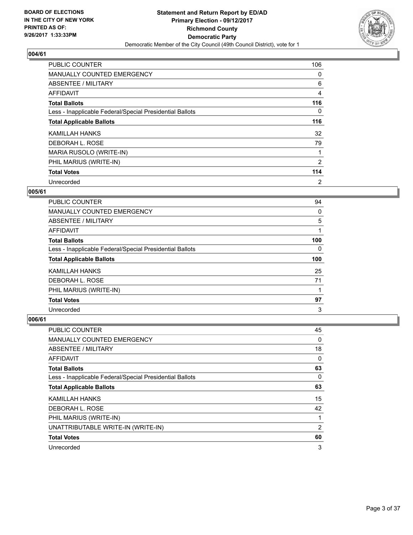

| <b>PUBLIC COUNTER</b>                                    | 106 |
|----------------------------------------------------------|-----|
| <b>MANUALLY COUNTED EMERGENCY</b>                        | 0   |
| ABSENTEE / MILITARY                                      | 6   |
| AFFIDAVIT                                                | 4   |
| <b>Total Ballots</b>                                     | 116 |
| Less - Inapplicable Federal/Special Presidential Ballots | 0   |
| <b>Total Applicable Ballots</b>                          | 116 |
| KAMILLAH HANKS                                           | 32  |
| DEBORAH L. ROSE                                          | 79  |
| MARIA RUSOLO (WRITE-IN)                                  |     |
| PHIL MARIUS (WRITE-IN)                                   | 2   |
| <b>Total Votes</b>                                       | 114 |
| Unrecorded                                               | 2   |

## **005/61**

| PUBLIC COUNTER                                           | 94  |
|----------------------------------------------------------|-----|
| <b>MANUALLY COUNTED EMERGENCY</b>                        | 0   |
| ABSENTEE / MILITARY                                      | 5   |
| AFFIDAVIT                                                |     |
| <b>Total Ballots</b>                                     | 100 |
| Less - Inapplicable Federal/Special Presidential Ballots | 0   |
|                                                          |     |
| <b>Total Applicable Ballots</b>                          | 100 |
| KAMILLAH HANKS                                           | 25  |
| DEBORAH L. ROSE                                          | 71  |
| PHIL MARIUS (WRITE-IN)                                   |     |
| <b>Total Votes</b>                                       | 97  |

| <b>PUBLIC COUNTER</b>                                    | 45 |
|----------------------------------------------------------|----|
| <b>MANUALLY COUNTED EMERGENCY</b>                        | 0  |
| ABSENTEE / MILITARY                                      | 18 |
| AFFIDAVIT                                                | 0  |
| <b>Total Ballots</b>                                     | 63 |
| Less - Inapplicable Federal/Special Presidential Ballots | 0  |
| <b>Total Applicable Ballots</b>                          | 63 |
| KAMILLAH HANKS                                           | 15 |
| DEBORAH L. ROSE                                          | 42 |
| PHIL MARIUS (WRITE-IN)                                   | 1  |
| UNATTRIBUTABLE WRITE-IN (WRITE-IN)                       | 2  |
| <b>Total Votes</b>                                       | 60 |
| Unrecorded                                               | 3  |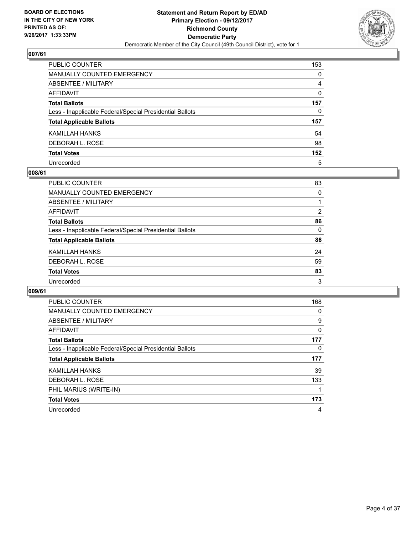

| PUBLIC COUNTER                                           | 153      |
|----------------------------------------------------------|----------|
| <b>MANUALLY COUNTED EMERGENCY</b>                        | $\Omega$ |
| <b>ABSENTEE / MILITARY</b>                               | 4        |
| <b>AFFIDAVIT</b>                                         | $\Omega$ |
| <b>Total Ballots</b>                                     | 157      |
| Less - Inapplicable Federal/Special Presidential Ballots | 0        |
| <b>Total Applicable Ballots</b>                          | 157      |
| KAMILLAH HANKS                                           | 54       |
| DEBORAH L. ROSE                                          | 98       |
| <b>Total Votes</b>                                       | 152      |
| Unrecorded                                               | 5        |

### **008/61**

| <b>PUBLIC COUNTER</b>                                    | 83             |
|----------------------------------------------------------|----------------|
| <b>MANUALLY COUNTED EMERGENCY</b>                        | 0              |
| ABSENTEE / MILITARY                                      |                |
| AFFIDAVIT                                                | $\overline{2}$ |
| <b>Total Ballots</b>                                     | 86             |
| Less - Inapplicable Federal/Special Presidential Ballots | 0              |
| <b>Total Applicable Ballots</b>                          | 86             |
| KAMILLAH HANKS                                           | 24             |
| DEBORAH L. ROSE                                          | 59             |
| <b>Total Votes</b>                                       | 83             |
| Unrecorded                                               | 3              |

| <b>PUBLIC COUNTER</b>                                    | 168 |
|----------------------------------------------------------|-----|
| <b>MANUALLY COUNTED EMERGENCY</b>                        | 0   |
| ABSENTEE / MILITARY                                      | 9   |
| AFFIDAVIT                                                | 0   |
| <b>Total Ballots</b>                                     | 177 |
| Less - Inapplicable Federal/Special Presidential Ballots | 0   |
|                                                          |     |
| <b>Total Applicable Ballots</b>                          | 177 |
| KAMILLAH HANKS                                           | 39  |
| DEBORAH L. ROSE                                          | 133 |
| PHIL MARIUS (WRITE-IN)                                   |     |
| <b>Total Votes</b>                                       | 173 |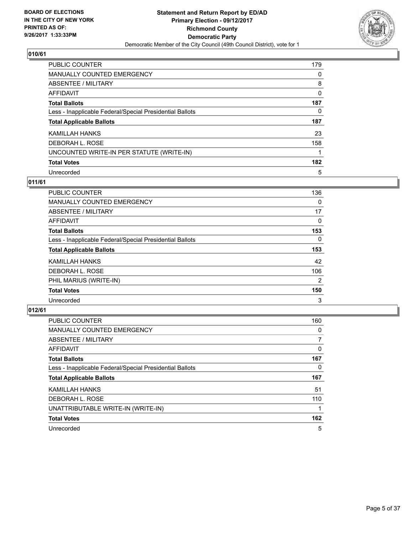

| <b>PUBLIC COUNTER</b>                                    | 179 |
|----------------------------------------------------------|-----|
| <b>MANUALLY COUNTED EMERGENCY</b>                        | 0   |
| ABSENTEE / MILITARY                                      | 8   |
| AFFIDAVIT                                                | 0   |
| <b>Total Ballots</b>                                     | 187 |
| Less - Inapplicable Federal/Special Presidential Ballots | 0   |
| <b>Total Applicable Ballots</b>                          | 187 |
| KAMILLAH HANKS                                           | 23  |
| DEBORAH L. ROSE                                          | 158 |
| UNCOUNTED WRITE-IN PER STATUTE (WRITE-IN)                |     |
| <b>Total Votes</b>                                       | 182 |
| Unrecorded                                               | 5   |

## **011/61**

| <b>PUBLIC COUNTER</b>                                    | 136            |
|----------------------------------------------------------|----------------|
| <b>MANUALLY COUNTED EMERGENCY</b>                        | 0              |
| ABSENTEE / MILITARY                                      | 17             |
| <b>AFFIDAVIT</b>                                         | 0              |
| <b>Total Ballots</b>                                     | 153            |
| Less - Inapplicable Federal/Special Presidential Ballots | $\Omega$       |
| <b>Total Applicable Ballots</b>                          | 153            |
| KAMILLAH HANKS                                           | 42             |
| DEBORAH L. ROSE                                          | 106            |
| PHIL MARIUS (WRITE-IN)                                   | $\overline{2}$ |
| <b>Total Votes</b>                                       | 150            |
| Unrecorded                                               | 3              |

| <b>PUBLIC COUNTER</b>                                    | 160 |
|----------------------------------------------------------|-----|
| MANUALLY COUNTED EMERGENCY                               | 0   |
| ABSENTEE / MILITARY                                      |     |
| <b>AFFIDAVIT</b>                                         | 0   |
| <b>Total Ballots</b>                                     | 167 |
| Less - Inapplicable Federal/Special Presidential Ballots | 0   |
| <b>Total Applicable Ballots</b>                          | 167 |
| KAMILLAH HANKS                                           | 51  |
| DEBORAH L. ROSE                                          | 110 |
| UNATTRIBUTABLE WRITE-IN (WRITE-IN)                       |     |
| <b>Total Votes</b>                                       | 162 |
| Unrecorded                                               | 5   |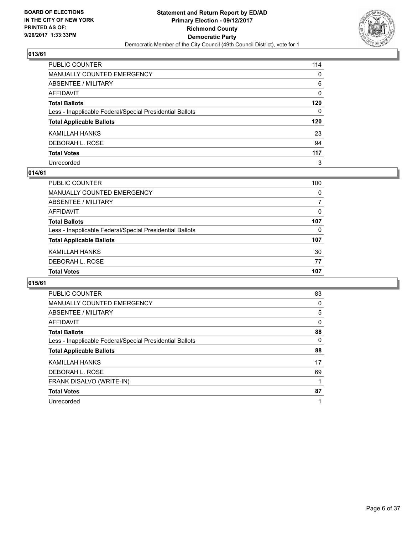

| PUBLIC COUNTER                                           | 114          |
|----------------------------------------------------------|--------------|
| MANUALLY COUNTED EMERGENCY                               | 0            |
| ABSENTEE / MILITARY                                      | 6            |
| AFFIDAVIT                                                | 0            |
| Total Ballots                                            | 120          |
| Less - Inapplicable Federal/Special Presidential Ballots | $\mathbf{0}$ |
| <b>Total Applicable Ballots</b>                          | 120          |
| KAMILLAH HANKS                                           | 23           |
| DEBORAH L. ROSE                                          | 94           |
| <b>Total Votes</b>                                       | 117          |
| Unrecorded                                               | 3            |

### **014/61**

| <b>PUBLIC COUNTER</b>                                    | 100 |
|----------------------------------------------------------|-----|
| <b>MANUALLY COUNTED EMERGENCY</b>                        | 0   |
| ABSENTEE / MILITARY                                      | 7   |
| AFFIDAVIT                                                | 0   |
| <b>Total Ballots</b>                                     | 107 |
| Less - Inapplicable Federal/Special Presidential Ballots | 0   |
| <b>Total Applicable Ballots</b>                          | 107 |
| KAMILLAH HANKS                                           | 30  |
| DEBORAH L. ROSE                                          | 77  |
| <b>Total Votes</b>                                       | 107 |

| <b>PUBLIC COUNTER</b>                                    | 83 |
|----------------------------------------------------------|----|
| MANUALLY COUNTED EMERGENCY                               | 0  |
| ABSENTEE / MILITARY                                      | 5  |
| AFFIDAVIT                                                | 0  |
| <b>Total Ballots</b>                                     | 88 |
| Less - Inapplicable Federal/Special Presidential Ballots | 0  |
| <b>Total Applicable Ballots</b>                          | 88 |
| KAMILLAH HANKS                                           | 17 |
| DEBORAH L. ROSE                                          | 69 |
| FRANK DISALVO (WRITE-IN)                                 |    |
| <b>Total Votes</b>                                       | 87 |
| Unrecorded                                               |    |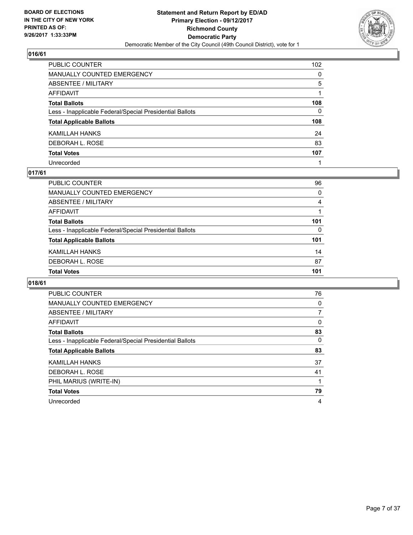

| PUBLIC COUNTER                                           | 102          |
|----------------------------------------------------------|--------------|
| <b>MANUALLY COUNTED EMERGENCY</b>                        | 0            |
| ABSENTEE / MILITARY                                      | 5            |
| <b>AFFIDAVIT</b>                                         |              |
| <b>Total Ballots</b>                                     | 108          |
| Less - Inapplicable Federal/Special Presidential Ballots | $\mathbf{0}$ |
| <b>Total Applicable Ballots</b>                          | 108          |
| KAMILLAH HANKS                                           | 24           |
| DEBORAH L. ROSE                                          | 83           |
| <b>Total Votes</b>                                       | 107          |
| Unrecorded                                               |              |

## **017/61**

| <b>PUBLIC COUNTER</b>                                    | 96  |
|----------------------------------------------------------|-----|
| MANUALLY COUNTED EMERGENCY                               | 0   |
| ABSENTEE / MILITARY                                      | 4   |
| AFFIDAVIT                                                |     |
| <b>Total Ballots</b>                                     | 101 |
| Less - Inapplicable Federal/Special Presidential Ballots | 0   |
| <b>Total Applicable Ballots</b>                          | 101 |
| KAMILLAH HANKS                                           | 14  |
| DEBORAH L. ROSE                                          | 87  |
| <b>Total Votes</b>                                       | 101 |

| <b>PUBLIC COUNTER</b>                                    | 76 |
|----------------------------------------------------------|----|
| MANUALLY COUNTED EMERGENCY                               | 0  |
| ABSENTEE / MILITARY                                      | 7  |
| AFFIDAVIT                                                | 0  |
| <b>Total Ballots</b>                                     | 83 |
| Less - Inapplicable Federal/Special Presidential Ballots | 0  |
| <b>Total Applicable Ballots</b>                          | 83 |
| KAMILLAH HANKS                                           | 37 |
| DEBORAH L. ROSE                                          | 41 |
| PHIL MARIUS (WRITE-IN)                                   |    |
| <b>Total Votes</b>                                       | 79 |
| Unrecorded                                               | 4  |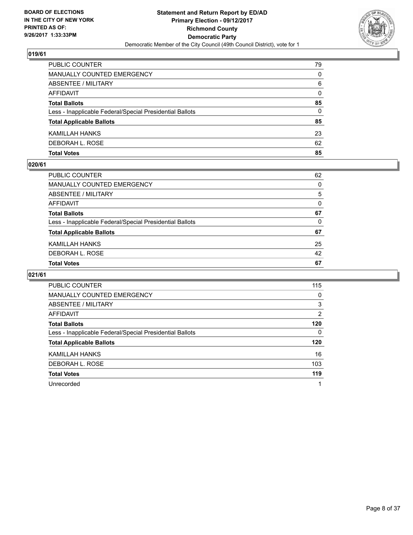

| <b>PUBLIC COUNTER</b>                                    | 79 |
|----------------------------------------------------------|----|
| MANUALLY COUNTED EMERGENCY                               | 0  |
| <b>ABSENTEE / MILITARY</b>                               | 6  |
| AFFIDAVIT                                                | 0  |
| <b>Total Ballots</b>                                     | 85 |
| Less - Inapplicable Federal/Special Presidential Ballots | 0  |
| <b>Total Applicable Ballots</b>                          | 85 |
| KAMILLAH HANKS                                           | 23 |
| DEBORAH L. ROSE                                          | 62 |
| <b>Total Votes</b>                                       | 85 |

### **020/61**

| PUBLIC COUNTER                                           | 62       |
|----------------------------------------------------------|----------|
| MANUALLY COUNTED EMERGENCY                               | 0        |
| ABSENTEE / MILITARY                                      | 5        |
| AFFIDAVIT                                                | 0        |
| <b>Total Ballots</b>                                     | 67       |
| Less - Inapplicable Federal/Special Presidential Ballots | $\Omega$ |
| <b>Total Applicable Ballots</b>                          | 67       |
| KAMILLAH HANKS                                           | 25       |
| DEBORAH L. ROSE                                          | 42       |
| <b>Total Votes</b>                                       | 67       |
|                                                          |          |

| <b>PUBLIC COUNTER</b>                                    | 115 |
|----------------------------------------------------------|-----|
| <b>MANUALLY COUNTED EMERGENCY</b>                        | 0   |
| ABSENTEE / MILITARY                                      | 3   |
| AFFIDAVIT                                                | 2   |
| <b>Total Ballots</b>                                     | 120 |
| Less - Inapplicable Federal/Special Presidential Ballots | 0   |
| <b>Total Applicable Ballots</b>                          | 120 |
| KAMILLAH HANKS                                           | 16  |
| DEBORAH L. ROSE                                          | 103 |
| <b>Total Votes</b>                                       | 119 |
| Unrecorded                                               |     |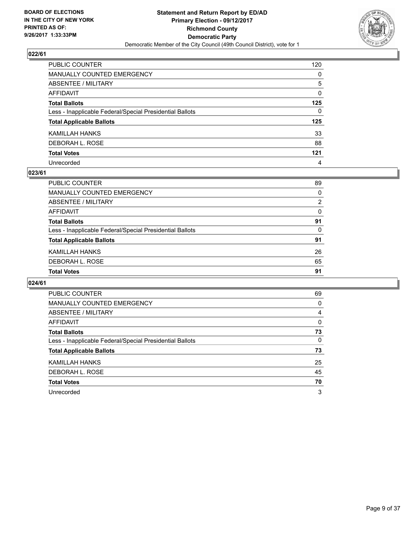

| PUBLIC COUNTER                                           | 120          |
|----------------------------------------------------------|--------------|
| MANUALLY COUNTED EMERGENCY                               | 0            |
| ABSENTEE / MILITARY                                      | 5            |
| AFFIDAVIT                                                | 0            |
| Total Ballots                                            | 125          |
| Less - Inapplicable Federal/Special Presidential Ballots | $\mathbf{0}$ |
| <b>Total Applicable Ballots</b>                          | 125          |
| KAMILLAH HANKS                                           | 33           |
| DEBORAH L. ROSE                                          | 88           |
| <b>Total Votes</b>                                       | 121          |
| Unrecorded                                               | 4            |

## **023/61**

| <b>PUBLIC COUNTER</b>                                    | 89             |
|----------------------------------------------------------|----------------|
| MANUALLY COUNTED EMERGENCY                               | 0              |
| ABSENTEE / MILITARY                                      | $\overline{2}$ |
| AFFIDAVIT                                                | 0              |
| <b>Total Ballots</b>                                     | 91             |
| Less - Inapplicable Federal/Special Presidential Ballots | 0              |
| <b>Total Applicable Ballots</b>                          | 91             |
| KAMILLAH HANKS                                           | 26             |
| DEBORAH L. ROSE                                          | 65             |
| <b>Total Votes</b>                                       | 91             |

| PUBLIC COUNTER                                           | 69 |
|----------------------------------------------------------|----|
| <b>MANUALLY COUNTED EMERGENCY</b>                        | 0  |
| ABSENTEE / MILITARY                                      | 4  |
| AFFIDAVIT                                                | 0  |
| <b>Total Ballots</b>                                     | 73 |
| Less - Inapplicable Federal/Special Presidential Ballots | 0  |
| <b>Total Applicable Ballots</b>                          | 73 |
| KAMILLAH HANKS                                           | 25 |
| DEBORAH L. ROSE                                          | 45 |
| <b>Total Votes</b>                                       | 70 |
| Unrecorded                                               | 3  |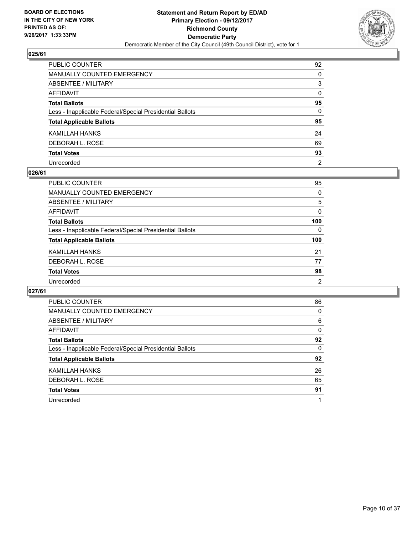

| PUBLIC COUNTER                                           | 92             |
|----------------------------------------------------------|----------------|
| MANUALLY COUNTED EMERGENCY                               | 0              |
| ABSENTEE / MILITARY                                      | 3              |
| AFFIDAVIT                                                | $\mathbf{0}$   |
| Total Ballots                                            | 95             |
| Less - Inapplicable Federal/Special Presidential Ballots | 0              |
| <b>Total Applicable Ballots</b>                          | 95             |
| KAMILLAH HANKS                                           | 24             |
| DEBORAH L. ROSE                                          | 69             |
| <b>Total Votes</b>                                       | 93             |
| Unrecorded                                               | $\overline{2}$ |

#### **026/61**

| <b>PUBLIC COUNTER</b>                                    | 95             |
|----------------------------------------------------------|----------------|
| <b>MANUALLY COUNTED EMERGENCY</b>                        | 0              |
| ABSENTEE / MILITARY                                      | 5              |
| AFFIDAVIT                                                | 0              |
| <b>Total Ballots</b>                                     | 100            |
| Less - Inapplicable Federal/Special Presidential Ballots | 0              |
| <b>Total Applicable Ballots</b>                          | 100            |
| KAMILLAH HANKS                                           | 21             |
| DEBORAH L. ROSE                                          | 77             |
| <b>Total Votes</b>                                       | 98             |
| Unrecorded                                               | $\overline{2}$ |

| <b>PUBLIC COUNTER</b>                                    | 86 |
|----------------------------------------------------------|----|
| <b>MANUALLY COUNTED EMERGENCY</b>                        | 0  |
| ABSENTEE / MILITARY                                      | 6  |
| AFFIDAVIT                                                | 0  |
| <b>Total Ballots</b>                                     | 92 |
| Less - Inapplicable Federal/Special Presidential Ballots | 0  |
| <b>Total Applicable Ballots</b>                          | 92 |
| KAMILLAH HANKS                                           | 26 |
| DEBORAH L. ROSE                                          | 65 |
| <b>Total Votes</b>                                       | 91 |
| Unrecorded                                               |    |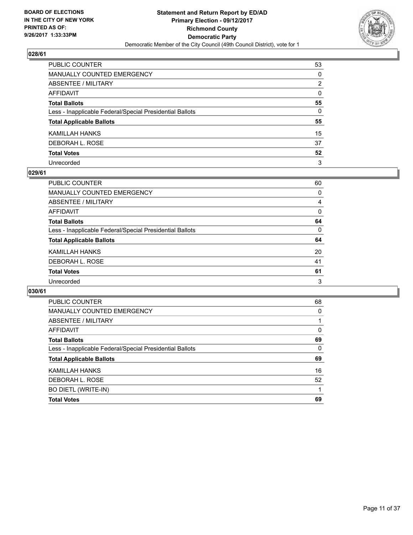

| PUBLIC COUNTER                                           | 53             |
|----------------------------------------------------------|----------------|
| MANUALLY COUNTED EMERGENCY                               | 0              |
| ABSENTEE / MILITARY                                      | $\overline{2}$ |
| AFFIDAVIT                                                | $\mathbf{0}$   |
| Total Ballots                                            | 55             |
| Less - Inapplicable Federal/Special Presidential Ballots | $\mathbf{0}$   |
| <b>Total Applicable Ballots</b>                          | 55             |
| KAMILLAH HANKS                                           | 15             |
| DEBORAH L. ROSE                                          | 37             |
| <b>Total Votes</b>                                       | 52             |
| Unrecorded                                               | 3              |

### **029/61**

| PUBLIC COUNTER                                           | 60       |
|----------------------------------------------------------|----------|
| MANUALLY COUNTED EMERGENCY                               | 0        |
| ABSENTEE / MILITARY                                      | 4        |
| AFFIDAVIT                                                | $\Omega$ |
| <b>Total Ballots</b>                                     | 64       |
| Less - Inapplicable Federal/Special Presidential Ballots | 0        |
| <b>Total Applicable Ballots</b>                          | 64       |
| KAMILLAH HANKS                                           | 20       |
| DEBORAH L. ROSE                                          | 41       |
| <b>Total Votes</b>                                       | 61       |
| Unrecorded                                               | 3        |

| <b>Total Votes</b>                                       | 69 |
|----------------------------------------------------------|----|
| <b>BO DIETL (WRITE-IN)</b>                               |    |
| DEBORAH L. ROSE                                          | 52 |
| KAMILLAH HANKS                                           | 16 |
| <b>Total Applicable Ballots</b>                          | 69 |
| Less - Inapplicable Federal/Special Presidential Ballots | 0  |
| <b>Total Ballots</b>                                     | 69 |
| AFFIDAVIT                                                | 0  |
| ABSENTEE / MILITARY                                      |    |
| <b>MANUALLY COUNTED EMERGENCY</b>                        | 0  |
| <b>PUBLIC COUNTER</b>                                    | 68 |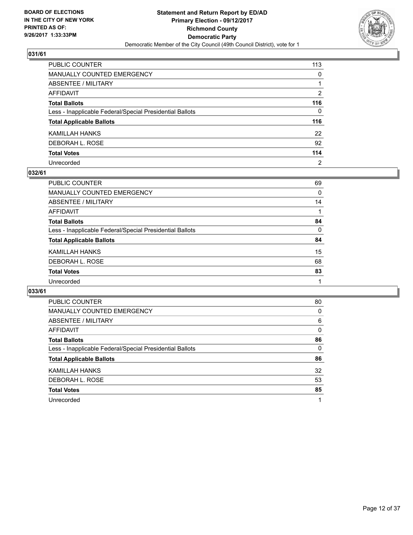

| PUBLIC COUNTER                                           | 113          |
|----------------------------------------------------------|--------------|
| <b>MANUALLY COUNTED EMERGENCY</b>                        | $\mathbf{0}$ |
| ABSENTEE / MILITARY                                      |              |
| <b>AFFIDAVIT</b>                                         | 2            |
| <b>Total Ballots</b>                                     | 116          |
| Less - Inapplicable Federal/Special Presidential Ballots | $\mathbf{0}$ |
| <b>Total Applicable Ballots</b>                          | 116          |
| KAMILLAH HANKS                                           | 22           |
| DEBORAH L. ROSE                                          | 92           |
| <b>Total Votes</b>                                       | 114          |
| Unrecorded                                               | 2            |

## **032/61**

| PUBLIC COUNTER                                           | 69 |
|----------------------------------------------------------|----|
| <b>MANUALLY COUNTED EMERGENCY</b>                        | 0  |
| ABSENTEE / MILITARY                                      | 14 |
| AFFIDAVIT                                                |    |
| <b>Total Ballots</b>                                     | 84 |
| Less - Inapplicable Federal/Special Presidential Ballots | 0  |
| <b>Total Applicable Ballots</b>                          | 84 |
| KAMILLAH HANKS                                           | 15 |
| DEBORAH L. ROSE                                          | 68 |
| <b>Total Votes</b>                                       | 83 |
| Unrecorded                                               |    |

| <b>PUBLIC COUNTER</b>                                    | 80 |
|----------------------------------------------------------|----|
| MANUALLY COUNTED EMERGENCY                               | 0  |
| ABSENTEE / MILITARY                                      | 6  |
| AFFIDAVIT                                                | 0  |
| <b>Total Ballots</b>                                     | 86 |
| Less - Inapplicable Federal/Special Presidential Ballots | 0  |
| <b>Total Applicable Ballots</b>                          | 86 |
| KAMILLAH HANKS                                           | 32 |
| DEBORAH L. ROSE                                          | 53 |
| <b>Total Votes</b>                                       | 85 |
| Unrecorded                                               |    |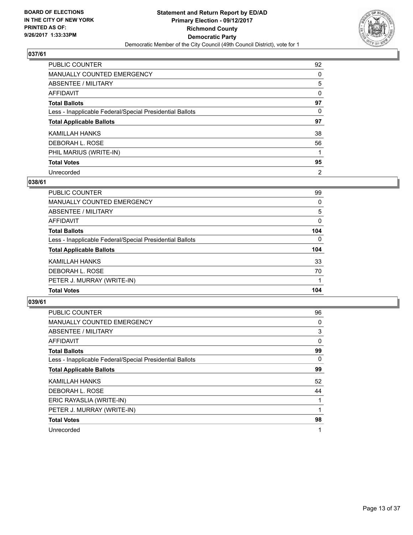

| PUBLIC COUNTER                                           | 92             |
|----------------------------------------------------------|----------------|
| <b>MANUALLY COUNTED EMERGENCY</b>                        | 0              |
| ABSENTEE / MILITARY                                      | 5              |
| AFFIDAVIT                                                | 0              |
| <b>Total Ballots</b>                                     | 97             |
| Less - Inapplicable Federal/Special Presidential Ballots | 0              |
| <b>Total Applicable Ballots</b>                          | 97             |
| KAMILLAH HANKS                                           | 38             |
| DEBORAH L. ROSE                                          | 56             |
| PHIL MARIUS (WRITE-IN)                                   |                |
| <b>Total Votes</b>                                       | 95             |
| Unrecorded                                               | $\overline{2}$ |

## **038/61**

| <b>PUBLIC COUNTER</b>                                    | 99       |
|----------------------------------------------------------|----------|
| MANUALLY COUNTED EMERGENCY                               | 0        |
| ABSENTEE / MILITARY                                      | 5        |
| AFFIDAVIT                                                | $\Omega$ |
| <b>Total Ballots</b>                                     | 104      |
| Less - Inapplicable Federal/Special Presidential Ballots | $\Omega$ |
| <b>Total Applicable Ballots</b>                          | 104      |
| KAMILLAH HANKS                                           | 33       |
| DEBORAH L. ROSE                                          | 70       |
| PETER J. MURRAY (WRITE-IN)                               |          |
| <b>Total Votes</b>                                       | 104      |

| <b>PUBLIC COUNTER</b>                                    | 96 |
|----------------------------------------------------------|----|
| <b>MANUALLY COUNTED EMERGENCY</b>                        | 0  |
| ABSENTEE / MILITARY                                      | 3  |
| AFFIDAVIT                                                | 0  |
| <b>Total Ballots</b>                                     | 99 |
| Less - Inapplicable Federal/Special Presidential Ballots | 0  |
| <b>Total Applicable Ballots</b>                          | 99 |
| KAMILLAH HANKS                                           | 52 |
| DEBORAH L. ROSE                                          | 44 |
| ERIC RAYASLIA (WRITE-IN)                                 |    |
| PETER J. MURRAY (WRITE-IN)                               | 1  |
| <b>Total Votes</b>                                       | 98 |
| Unrecorded                                               | 1  |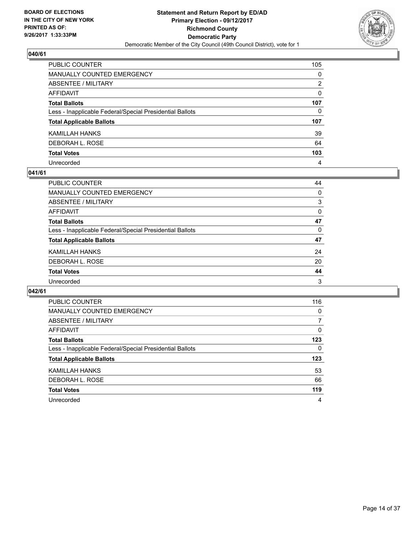

| PUBLIC COUNTER                                           | 105          |
|----------------------------------------------------------|--------------|
| <b>MANUALLY COUNTED EMERGENCY</b>                        | $\mathbf{0}$ |
| <b>ABSENTEE / MILITARY</b>                               | 2            |
| <b>AFFIDAVIT</b>                                         | $\Omega$     |
| <b>Total Ballots</b>                                     | 107          |
| Less - Inapplicable Federal/Special Presidential Ballots | 0            |
| <b>Total Applicable Ballots</b>                          | 107          |
| KAMILLAH HANKS                                           | 39           |
| DEBORAH L. ROSE                                          | 64           |
| <b>Total Votes</b>                                       | 103          |
| Unrecorded                                               | 4            |

### **041/61**

| <b>PUBLIC COUNTER</b>                                    | 44       |
|----------------------------------------------------------|----------|
| MANUALLY COUNTED EMERGENCY                               | 0        |
| ABSENTEE / MILITARY                                      | 3        |
| AFFIDAVIT                                                | $\Omega$ |
| <b>Total Ballots</b>                                     | 47       |
| Less - Inapplicable Federal/Special Presidential Ballots | 0        |
| <b>Total Applicable Ballots</b>                          | 47       |
| KAMILLAH HANKS                                           | 24       |
| DEBORAH L. ROSE                                          | 20       |
| <b>Total Votes</b>                                       | 44       |
| Unrecorded                                               | 3        |

| <b>PUBLIC COUNTER</b>                                    | 116 |
|----------------------------------------------------------|-----|
| MANUALLY COUNTED EMERGENCY                               | 0   |
| ABSENTEE / MILITARY                                      | 7   |
| AFFIDAVIT                                                | 0   |
| <b>Total Ballots</b>                                     | 123 |
| Less - Inapplicable Federal/Special Presidential Ballots | 0   |
| <b>Total Applicable Ballots</b>                          | 123 |
| KAMILLAH HANKS                                           | 53  |
| DEBORAH L. ROSE                                          | 66  |
| <b>Total Votes</b>                                       | 119 |
| Unrecorded                                               | 4   |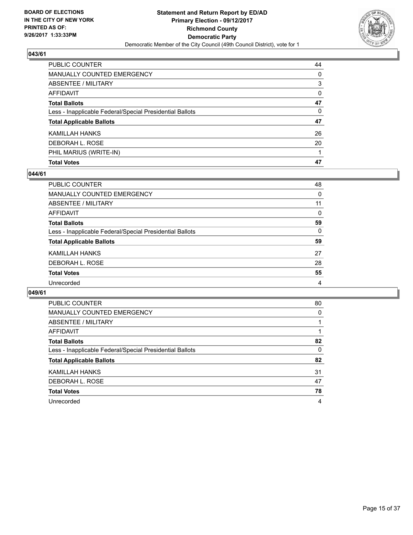

| <b>Total Votes</b>                                       | 47       |
|----------------------------------------------------------|----------|
| PHIL MARIUS (WRITE-IN)                                   |          |
| DEBORAH L. ROSE                                          | 20       |
| KAMILLAH HANKS                                           | 26       |
| <b>Total Applicable Ballots</b>                          | 47       |
| Less - Inapplicable Federal/Special Presidential Ballots | 0        |
| <b>Total Ballots</b>                                     | 47       |
| AFFIDAVIT                                                | $\Omega$ |
| <b>ABSENTEE / MILITARY</b>                               | 3        |
| <b>MANUALLY COUNTED EMERGENCY</b>                        | 0        |
| PUBLIC COUNTER                                           | 44       |

## **044/61**

| <b>PUBLIC COUNTER</b>                                    | 48       |
|----------------------------------------------------------|----------|
| <b>MANUALLY COUNTED EMERGENCY</b>                        | 0        |
| ABSENTEE / MILITARY                                      | 11       |
| AFFIDAVIT                                                | $\Omega$ |
| <b>Total Ballots</b>                                     | 59       |
| Less - Inapplicable Federal/Special Presidential Ballots | 0        |
| <b>Total Applicable Ballots</b>                          | 59       |
| <b>KAMILLAH HANKS</b>                                    | 27       |
| DEBORAH L. ROSE                                          | 28       |
| <b>Total Votes</b>                                       | 55       |
| Unrecorded                                               | 4        |
|                                                          |          |

| <b>PUBLIC COUNTER</b>                                    | 80 |
|----------------------------------------------------------|----|
| MANUALLY COUNTED EMERGENCY                               | 0  |
| ABSENTEE / MILITARY                                      |    |
| AFFIDAVIT                                                |    |
| <b>Total Ballots</b>                                     | 82 |
| Less - Inapplicable Federal/Special Presidential Ballots | 0  |
| <b>Total Applicable Ballots</b>                          | 82 |
| KAMILLAH HANKS                                           | 31 |
| DEBORAH L. ROSE                                          | 47 |
| <b>Total Votes</b>                                       | 78 |
| Unrecorded                                               | 4  |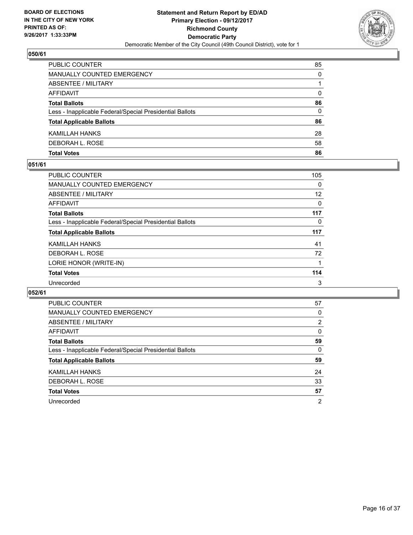

| PUBLIC COUNTER                                           | 85 |
|----------------------------------------------------------|----|
| MANUALLY COUNTED EMERGENCY                               | 0  |
| <b>ABSENTEE / MILITARY</b>                               |    |
| AFFIDAVIT                                                | 0  |
| <b>Total Ballots</b>                                     | 86 |
| Less - Inapplicable Federal/Special Presidential Ballots | 0  |
| <b>Total Applicable Ballots</b>                          | 86 |
| KAMILLAH HANKS                                           | 28 |
| DEBORAH L. ROSE                                          | 58 |
| <b>Total Votes</b>                                       | 86 |

### **051/61**

| PUBLIC COUNTER                                           | 105 |
|----------------------------------------------------------|-----|
| MANUALLY COUNTED EMERGENCY                               | 0   |
| ABSENTEE / MILITARY                                      | 12  |
| AFFIDAVIT                                                | 0   |
| <b>Total Ballots</b>                                     | 117 |
| Less - Inapplicable Federal/Special Presidential Ballots | 0   |
| <b>Total Applicable Ballots</b>                          | 117 |
| KAMILLAH HANKS                                           | 41  |
| DEBORAH L. ROSE                                          | 72  |
| LORIE HONOR (WRITE-IN)                                   |     |
| <b>Total Votes</b>                                       | 114 |
| Unrecorded                                               | 3   |

| <b>PUBLIC COUNTER</b>                                    | 57             |
|----------------------------------------------------------|----------------|
| <b>MANUALLY COUNTED EMERGENCY</b>                        | 0              |
| ABSENTEE / MILITARY                                      | 2              |
| AFFIDAVIT                                                | 0              |
| <b>Total Ballots</b>                                     | 59             |
| Less - Inapplicable Federal/Special Presidential Ballots | 0              |
| <b>Total Applicable Ballots</b>                          | 59             |
| KAMILLAH HANKS                                           | 24             |
| DEBORAH L. ROSE                                          | 33             |
| <b>Total Votes</b>                                       | 57             |
| Unrecorded                                               | $\overline{2}$ |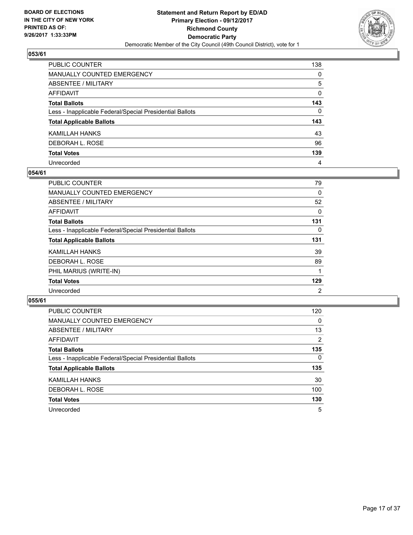

| PUBLIC COUNTER                                           | 138          |
|----------------------------------------------------------|--------------|
| <b>MANUALLY COUNTED EMERGENCY</b>                        | $\Omega$     |
| <b>ABSENTEE / MILITARY</b>                               | 5            |
| <b>AFFIDAVIT</b>                                         | $\Omega$     |
| <b>Total Ballots</b>                                     | 143          |
| Less - Inapplicable Federal/Special Presidential Ballots | $\mathbf{0}$ |
| <b>Total Applicable Ballots</b>                          | 143          |
| KAMILLAH HANKS                                           | 43           |
| DEBORAH L. ROSE                                          | 96           |
| <b>Total Votes</b>                                       | 139          |
| Unrecorded                                               | 4            |

## **054/61**

| PUBLIC COUNTER                                           | 79  |
|----------------------------------------------------------|-----|
| <b>MANUALLY COUNTED EMERGENCY</b>                        | 0   |
| ABSENTEE / MILITARY                                      | 52  |
| AFFIDAVIT                                                | 0   |
| <b>Total Ballots</b>                                     | 131 |
| Less - Inapplicable Federal/Special Presidential Ballots | 0   |
| <b>Total Applicable Ballots</b>                          | 131 |
| KAMILLAH HANKS                                           | 39  |
| DEBORAH L. ROSE                                          | 89  |
| PHIL MARIUS (WRITE-IN)                                   |     |
| <b>Total Votes</b>                                       | 129 |
| Unrecorded                                               | 2   |

| <b>PUBLIC COUNTER</b>                                    | 120            |
|----------------------------------------------------------|----------------|
| <b>MANUALLY COUNTED EMERGENCY</b>                        | 0              |
| ABSENTEE / MILITARY                                      | 13             |
| AFFIDAVIT                                                | $\overline{2}$ |
| <b>Total Ballots</b>                                     | 135            |
| Less - Inapplicable Federal/Special Presidential Ballots | $\Omega$       |
| <b>Total Applicable Ballots</b>                          | 135            |
| KAMILLAH HANKS                                           | 30             |
| DEBORAH L. ROSE                                          | 100            |
| <b>Total Votes</b>                                       | 130            |
| Unrecorded                                               | 5              |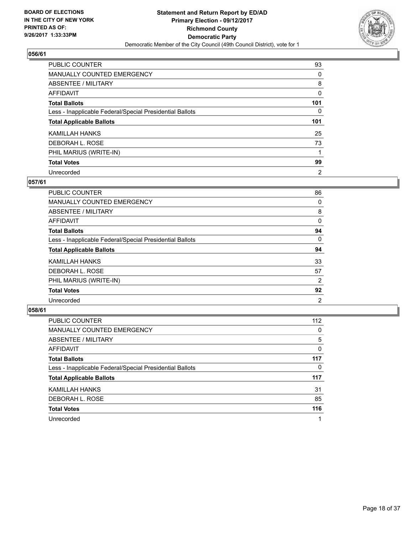

| <b>PUBLIC COUNTER</b>                                    | 93             |
|----------------------------------------------------------|----------------|
| <b>MANUALLY COUNTED EMERGENCY</b>                        | 0              |
| ABSENTEE / MILITARY                                      | 8              |
| AFFIDAVIT                                                | 0              |
| <b>Total Ballots</b>                                     | 101            |
| Less - Inapplicable Federal/Special Presidential Ballots | 0              |
| <b>Total Applicable Ballots</b>                          | 101            |
| <b>KAMILLAH HANKS</b>                                    | 25             |
| DEBORAH L. ROSE                                          | 73             |
| PHIL MARIUS (WRITE-IN)                                   |                |
| <b>Total Votes</b>                                       | 99             |
| Unrecorded                                               | $\overline{2}$ |

## **057/61**

| <b>PUBLIC COUNTER</b>                                    | 86             |
|----------------------------------------------------------|----------------|
| MANUALLY COUNTED EMERGENCY                               | 0              |
| ABSENTEE / MILITARY                                      | 8              |
| AFFIDAVIT                                                | 0              |
| <b>Total Ballots</b>                                     | 94             |
| Less - Inapplicable Federal/Special Presidential Ballots | 0              |
| <b>Total Applicable Ballots</b>                          | 94             |
| KAMILLAH HANKS                                           | 33             |
| DEBORAH L. ROSE                                          | 57             |
| PHIL MARIUS (WRITE-IN)                                   | 2              |
| <b>Total Votes</b>                                       | 92             |
| Unrecorded                                               | $\overline{2}$ |

| <b>PUBLIC COUNTER</b>                                    | 112 |
|----------------------------------------------------------|-----|
| <b>MANUALLY COUNTED EMERGENCY</b>                        | 0   |
| ABSENTEE / MILITARY                                      | 5   |
| AFFIDAVIT                                                | 0   |
| <b>Total Ballots</b>                                     | 117 |
| Less - Inapplicable Federal/Special Presidential Ballots | 0   |
| <b>Total Applicable Ballots</b>                          | 117 |
| KAMILLAH HANKS                                           | 31  |
| DEBORAH L. ROSE                                          | 85  |
| <b>Total Votes</b>                                       | 116 |
| Unrecorded                                               |     |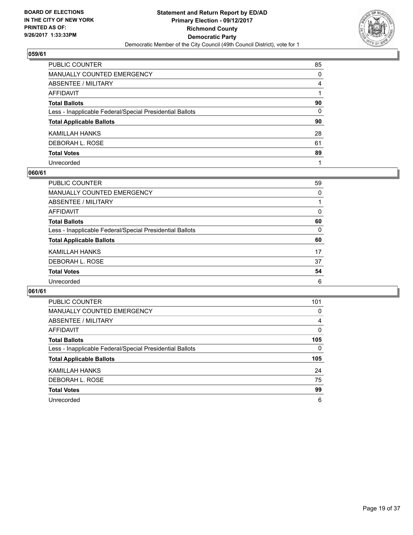

| PUBLIC COUNTER                                           | 85           |
|----------------------------------------------------------|--------------|
| MANUALLY COUNTED EMERGENCY                               | 0            |
| ABSENTEE / MILITARY                                      | 4            |
| AFFIDAVIT                                                |              |
| Total Ballots                                            | 90           |
| Less - Inapplicable Federal/Special Presidential Ballots | $\mathbf{0}$ |
| <b>Total Applicable Ballots</b>                          | 90           |
| KAMILLAH HANKS                                           | 28           |
| DEBORAH L. ROSE                                          | 61           |
| <b>Total Votes</b>                                       | 89           |
| Unrecorded                                               |              |

### **060/61**

| PUBLIC COUNTER                                           | 59 |
|----------------------------------------------------------|----|
| MANUALLY COUNTED EMERGENCY                               | 0  |
| ABSENTEE / MILITARY                                      |    |
| AFFIDAVIT                                                | 0  |
| <b>Total Ballots</b>                                     | 60 |
| Less - Inapplicable Federal/Special Presidential Ballots | 0  |
| <b>Total Applicable Ballots</b>                          | 60 |
| KAMILLAH HANKS                                           | 17 |
| DEBORAH L. ROSE                                          | 37 |
| <b>Total Votes</b>                                       | 54 |
| Unrecorded                                               | 6  |

| <b>PUBLIC COUNTER</b>                                    | 101 |
|----------------------------------------------------------|-----|
| MANUALLY COUNTED EMERGENCY                               | 0   |
| ABSENTEE / MILITARY                                      | 4   |
| AFFIDAVIT                                                | 0   |
| <b>Total Ballots</b>                                     | 105 |
| Less - Inapplicable Federal/Special Presidential Ballots | 0   |
| <b>Total Applicable Ballots</b>                          | 105 |
| KAMILLAH HANKS                                           | 24  |
| DEBORAH L. ROSE                                          | 75  |
| <b>Total Votes</b>                                       | 99  |
| Unrecorded                                               | 6   |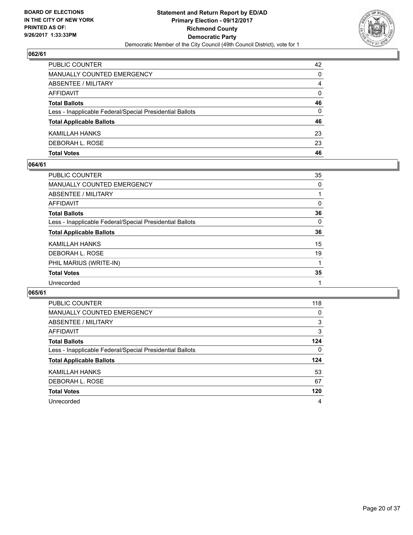

| <b>Total Votes</b>                                       | 46       |
|----------------------------------------------------------|----------|
| DEBORAH L. ROSE                                          | 23       |
| KAMILLAH HANKS                                           | 23       |
| <b>Total Applicable Ballots</b>                          | 46       |
| Less - Inapplicable Federal/Special Presidential Ballots | 0        |
| <b>Total Ballots</b>                                     | 46       |
| AFFIDAVIT                                                | $\Omega$ |
| ABSENTEE / MILITARY                                      | 4        |
| MANUALLY COUNTED EMERGENCY                               | 0        |
| PUBLIC COUNTER                                           | 42       |

### **064/61**

| <b>PUBLIC COUNTER</b>                                    | 35 |
|----------------------------------------------------------|----|
| <b>MANUALLY COUNTED EMERGENCY</b>                        | 0  |
| ABSENTEE / MILITARY                                      |    |
| AFFIDAVIT                                                | 0  |
| <b>Total Ballots</b>                                     | 36 |
| Less - Inapplicable Federal/Special Presidential Ballots | 0  |
| <b>Total Applicable Ballots</b>                          | 36 |
| KAMILLAH HANKS                                           | 15 |
| DEBORAH L. ROSE                                          | 19 |
| PHIL MARIUS (WRITE-IN)                                   |    |
| <b>Total Votes</b>                                       | 35 |
| Unrecorded                                               |    |
|                                                          |    |

| PUBLIC COUNTER                                           | 118 |
|----------------------------------------------------------|-----|
| <b>MANUALLY COUNTED EMERGENCY</b>                        | 0   |
| ABSENTEE / MILITARY                                      | 3   |
| AFFIDAVIT                                                | 3   |
| <b>Total Ballots</b>                                     | 124 |
| Less - Inapplicable Federal/Special Presidential Ballots | 0   |
| <b>Total Applicable Ballots</b>                          | 124 |
| KAMILLAH HANKS                                           | 53  |
| DEBORAH L. ROSE                                          | 67  |
| <b>Total Votes</b>                                       | 120 |
| Unrecorded                                               | 4   |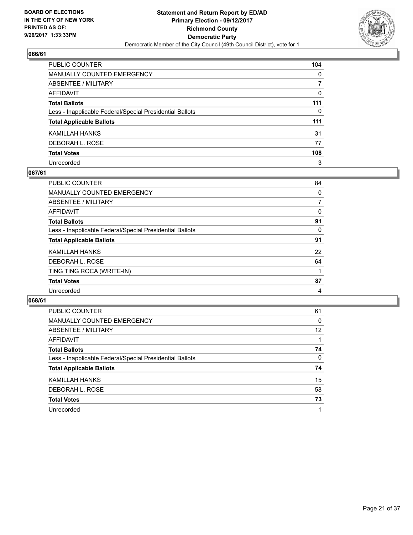

| PUBLIC COUNTER                                           | 104          |
|----------------------------------------------------------|--------------|
| <b>MANUALLY COUNTED EMERGENCY</b>                        | $\mathbf{0}$ |
| ABSENTEE / MILITARY                                      | 7            |
| <b>AFFIDAVIT</b>                                         | $\Omega$     |
| <b>Total Ballots</b>                                     | 111          |
| Less - Inapplicable Federal/Special Presidential Ballots | 0            |
| <b>Total Applicable Ballots</b>                          | 111          |
| KAMILLAH HANKS                                           | 31           |
| DEBORAH L. ROSE                                          | 77           |
| <b>Total Votes</b>                                       | 108          |
| Unrecorded                                               | 3            |

## **067/61**

| <b>PUBLIC COUNTER</b>                                    | 84 |
|----------------------------------------------------------|----|
| <b>MANUALLY COUNTED EMERGENCY</b>                        | 0  |
| ABSENTEE / MILITARY                                      | 7  |
| AFFIDAVIT                                                | 0  |
| <b>Total Ballots</b>                                     | 91 |
| Less - Inapplicable Federal/Special Presidential Ballots | 0  |
| <b>Total Applicable Ballots</b>                          | 91 |
| KAMILLAH HANKS                                           | 22 |
| DEBORAH L. ROSE                                          | 64 |
| TING TING ROCA (WRITE-IN)                                |    |
| <b>Total Votes</b>                                       | 87 |
| Unrecorded                                               | 4  |

| <b>PUBLIC COUNTER</b>                                    | 61 |
|----------------------------------------------------------|----|
| <b>MANUALLY COUNTED EMERGENCY</b>                        | 0  |
| ABSENTEE / MILITARY                                      | 12 |
| AFFIDAVIT                                                |    |
| <b>Total Ballots</b>                                     | 74 |
| Less - Inapplicable Federal/Special Presidential Ballots | 0  |
| <b>Total Applicable Ballots</b>                          | 74 |
| KAMILLAH HANKS                                           | 15 |
| DEBORAH L. ROSE                                          | 58 |
| <b>Total Votes</b>                                       | 73 |
| Unrecorded                                               |    |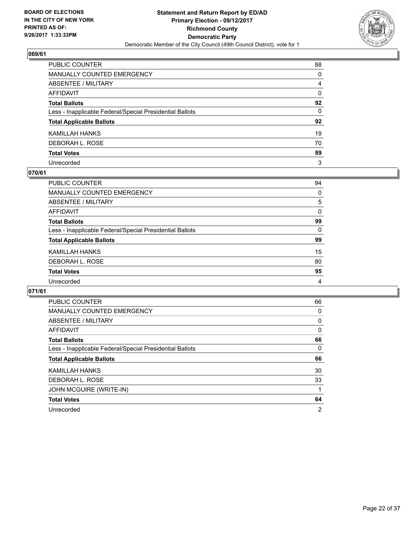

| PUBLIC COUNTER                                           | 88           |
|----------------------------------------------------------|--------------|
| MANUALLY COUNTED EMERGENCY                               | 0            |
| ABSENTEE / MILITARY                                      | 4            |
| AFFIDAVIT                                                | $\mathbf{0}$ |
| Total Ballots                                            | 92           |
| Less - Inapplicable Federal/Special Presidential Ballots | $\mathbf{0}$ |
| <b>Total Applicable Ballots</b>                          | 92           |
| KAMILLAH HANKS                                           | 19           |
| DEBORAH L. ROSE                                          | 70           |
| <b>Total Votes</b>                                       | 89           |
| Unrecorded                                               | 3            |

### **070/61**

| PUBLIC COUNTER                                           | 94 |
|----------------------------------------------------------|----|
| <b>MANUALLY COUNTED EMERGENCY</b>                        | 0  |
| ABSENTEE / MILITARY                                      | 5  |
| AFFIDAVIT                                                | 0  |
| <b>Total Ballots</b>                                     | 99 |
| Less - Inapplicable Federal/Special Presidential Ballots | 0  |
| <b>Total Applicable Ballots</b>                          | 99 |
| KAMILLAH HANKS                                           | 15 |
| DEBORAH L. ROSE                                          | 80 |
| <b>Total Votes</b>                                       | 95 |
| Unrecorded                                               | 4  |

| <b>PUBLIC COUNTER</b>                                    | 66 |
|----------------------------------------------------------|----|
| <b>MANUALLY COUNTED EMERGENCY</b>                        | 0  |
| <b>ABSENTEE / MILITARY</b>                               | 0  |
| <b>AFFIDAVIT</b>                                         | 0  |
| <b>Total Ballots</b>                                     | 66 |
| Less - Inapplicable Federal/Special Presidential Ballots | 0  |
| <b>Total Applicable Ballots</b>                          | 66 |
| KAMILLAH HANKS                                           | 30 |
| DEBORAH L. ROSE                                          | 33 |
| JOHN MCGUIRE (WRITE-IN)                                  |    |
|                                                          |    |
| <b>Total Votes</b>                                       | 64 |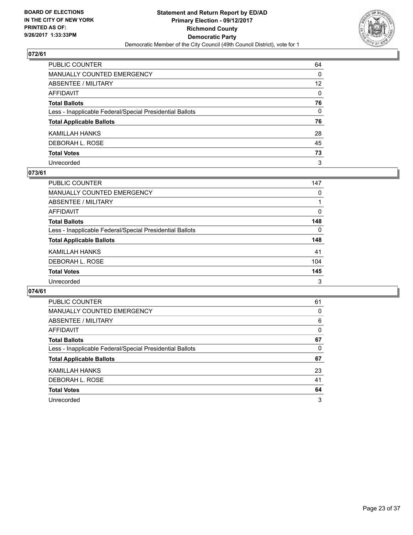

| PUBLIC COUNTER                                           | 64              |
|----------------------------------------------------------|-----------------|
| MANUALLY COUNTED EMERGENCY                               | 0               |
| ABSENTEE / MILITARY                                      | 12 <sup>2</sup> |
| AFFIDAVIT                                                | $\mathbf{0}$    |
| Total Ballots                                            | 76              |
| Less - Inapplicable Federal/Special Presidential Ballots | 0               |
| <b>Total Applicable Ballots</b>                          | 76              |
| KAMILLAH HANKS                                           | 28              |
| DEBORAH L. ROSE                                          | 45              |
| <b>Total Votes</b>                                       | 73              |
| Unrecorded                                               | 3               |

## **073/61**

| PUBLIC COUNTER                                           | 147 |
|----------------------------------------------------------|-----|
| MANUALLY COUNTED EMERGENCY                               | 0   |
| ABSENTEE / MILITARY                                      |     |
| AFFIDAVIT                                                | 0   |
| <b>Total Ballots</b>                                     | 148 |
| Less - Inapplicable Federal/Special Presidential Ballots | 0   |
| <b>Total Applicable Ballots</b>                          | 148 |
| KAMILLAH HANKS                                           | 41  |
| DEBORAH L. ROSE                                          | 104 |
| <b>Total Votes</b>                                       | 145 |
| Unrecorded                                               | 3   |

| <b>PUBLIC COUNTER</b>                                    | 61 |
|----------------------------------------------------------|----|
| <b>MANUALLY COUNTED EMERGENCY</b>                        | 0  |
| ABSENTEE / MILITARY                                      | 6  |
| AFFIDAVIT                                                | 0  |
| <b>Total Ballots</b>                                     | 67 |
| Less - Inapplicable Federal/Special Presidential Ballots | 0  |
| <b>Total Applicable Ballots</b>                          | 67 |
| KAMILLAH HANKS                                           | 23 |
| DEBORAH L. ROSE                                          | 41 |
| <b>Total Votes</b>                                       | 64 |
| Unrecorded                                               | 3  |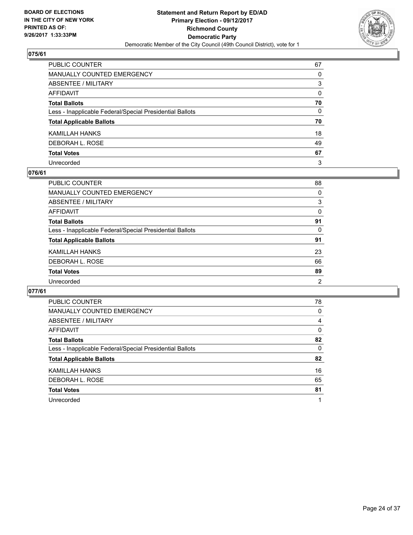

| PUBLIC COUNTER                                           | 67           |
|----------------------------------------------------------|--------------|
| MANUALLY COUNTED EMERGENCY                               | 0            |
| ABSENTEE / MILITARY                                      | 3            |
| AFFIDAVIT                                                | 0            |
| Total Ballots                                            | 70           |
| Less - Inapplicable Federal/Special Presidential Ballots | $\mathbf{0}$ |
| <b>Total Applicable Ballots</b>                          | 70           |
| KAMILLAH HANKS                                           | 18           |
| DEBORAH L. ROSE                                          | 49           |
| <b>Total Votes</b>                                       | 67           |
| Unrecorded                                               | 3            |

#### **076/61**

| <b>PUBLIC COUNTER</b>                                    | 88             |
|----------------------------------------------------------|----------------|
| <b>MANUALLY COUNTED EMERGENCY</b>                        | 0              |
| ABSENTEE / MILITARY                                      | 3              |
| AFFIDAVIT                                                | 0              |
| <b>Total Ballots</b>                                     | 91             |
| Less - Inapplicable Federal/Special Presidential Ballots | 0              |
| <b>Total Applicable Ballots</b>                          | 91             |
| KAMILLAH HANKS                                           | 23             |
| DEBORAH L. ROSE                                          | 66             |
| <b>Total Votes</b>                                       | 89             |
| Unrecorded                                               | $\overline{2}$ |

| <b>PUBLIC COUNTER</b>                                    | 78 |
|----------------------------------------------------------|----|
| <b>MANUALLY COUNTED EMERGENCY</b>                        | 0  |
| <b>ABSENTEE / MILITARY</b>                               | 4  |
| <b>AFFIDAVIT</b>                                         | 0  |
| <b>Total Ballots</b>                                     | 82 |
| Less - Inapplicable Federal/Special Presidential Ballots | 0  |
| <b>Total Applicable Ballots</b>                          | 82 |
| KAMILLAH HANKS                                           | 16 |
| DEBORAH L. ROSE                                          | 65 |
| <b>Total Votes</b>                                       | 81 |
| Unrecorded                                               | 1  |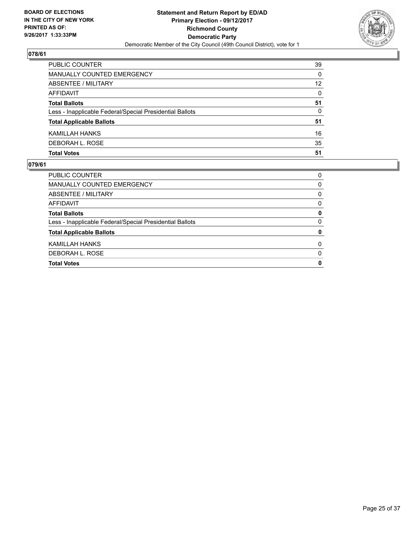

| <b>PUBLIC COUNTER</b>                                    | 39 |
|----------------------------------------------------------|----|
| MANUALLY COUNTED EMERGENCY                               | 0  |
| ABSENTEE / MILITARY                                      | 12 |
| AFFIDAVIT                                                | 0  |
| <b>Total Ballots</b>                                     | 51 |
| Less - Inapplicable Federal/Special Presidential Ballots | 0  |
| <b>Total Applicable Ballots</b>                          | 51 |
| KAMILLAH HANKS                                           | 16 |
| DEBORAH L. ROSE                                          | 35 |
| <b>Total Votes</b>                                       | 51 |

| <b>Total Votes</b>                                       | 0        |
|----------------------------------------------------------|----------|
| DEBORAH L. ROSE                                          | $\Omega$ |
| KAMILLAH HANKS                                           | 0        |
| <b>Total Applicable Ballots</b>                          | 0        |
| Less - Inapplicable Federal/Special Presidential Ballots | 0        |
| <b>Total Ballots</b>                                     | 0        |
| AFFIDAVIT                                                | 0        |
| ABSENTEE / MILITARY                                      | 0        |
| MANUALLY COUNTED EMERGENCY                               | 0        |
| <b>PUBLIC COUNTER</b>                                    | 0        |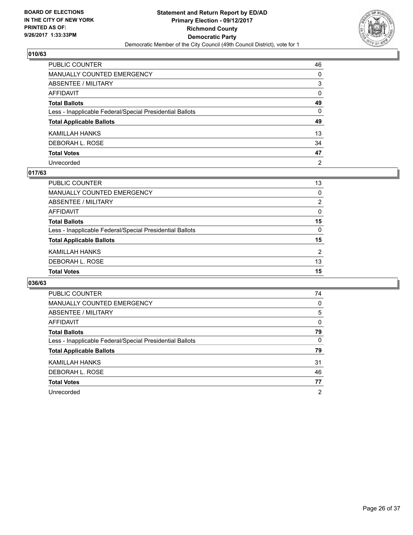

| PUBLIC COUNTER                                           | 46             |
|----------------------------------------------------------|----------------|
| MANUALLY COUNTED EMERGENCY                               | 0              |
| ABSENTEE / MILITARY                                      | 3              |
| AFFIDAVIT                                                | $\mathbf{0}$   |
| Total Ballots                                            | 49             |
| Less - Inapplicable Federal/Special Presidential Ballots | $\mathbf{0}$   |
| <b>Total Applicable Ballots</b>                          | 49             |
| KAMILLAH HANKS                                           | 13             |
| DEBORAH L. ROSE                                          | 34             |
| <b>Total Votes</b>                                       | 47             |
| Unrecorded                                               | $\overline{2}$ |

#### **017/63**

| <b>Total Votes</b>                                       | 15       |
|----------------------------------------------------------|----------|
| DEBORAH L. ROSE                                          | 13       |
| KAMILLAH HANKS                                           | 2        |
| <b>Total Applicable Ballots</b>                          | 15       |
| Less - Inapplicable Federal/Special Presidential Ballots | $\Omega$ |
| <b>Total Ballots</b>                                     | 15       |
| AFFIDAVIT                                                | 0        |
| ABSENTEE / MILITARY                                      | 2        |
| MANUALLY COUNTED EMERGENCY                               | 0        |
| PUBLIC COUNTER                                           | 13       |

| <b>PUBLIC COUNTER</b>                                    | 74             |
|----------------------------------------------------------|----------------|
|                                                          |                |
| <b>MANUALLY COUNTED EMERGENCY</b>                        | 0              |
| ABSENTEE / MILITARY                                      | 5              |
| AFFIDAVIT                                                | 0              |
| <b>Total Ballots</b>                                     | 79             |
| Less - Inapplicable Federal/Special Presidential Ballots | 0              |
| <b>Total Applicable Ballots</b>                          | 79             |
| KAMILLAH HANKS                                           | 31             |
| DEBORAH L. ROSE                                          | 46             |
| <b>Total Votes</b>                                       | 77             |
| Unrecorded                                               | $\overline{2}$ |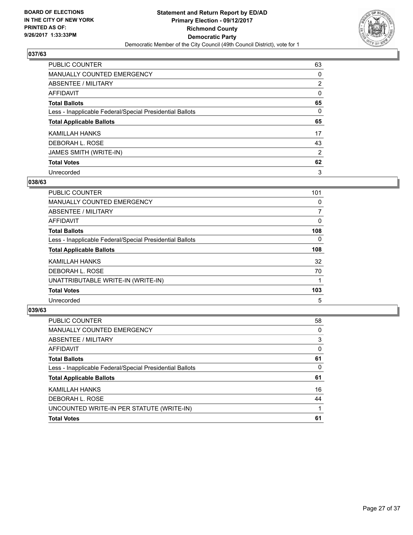

| PUBLIC COUNTER                                           | 63             |
|----------------------------------------------------------|----------------|
| <b>MANUALLY COUNTED EMERGENCY</b>                        | 0              |
| ABSENTEE / MILITARY                                      | $\overline{2}$ |
| AFFIDAVIT                                                | 0              |
| <b>Total Ballots</b>                                     | 65             |
| Less - Inapplicable Federal/Special Presidential Ballots | 0              |
| <b>Total Applicable Ballots</b>                          | 65             |
| KAMILLAH HANKS                                           | 17             |
| DEBORAH L. ROSE                                          | 43             |
| JAMES SMITH (WRITE-IN)                                   | 2              |
|                                                          |                |
| <b>Total Votes</b>                                       | 62             |

## **038/63**

| <b>PUBLIC COUNTER</b>                                    | 101      |
|----------------------------------------------------------|----------|
| <b>MANUALLY COUNTED EMERGENCY</b>                        | 0        |
| ABSENTEE / MILITARY                                      | 7        |
| <b>AFFIDAVIT</b>                                         | 0        |
| <b>Total Ballots</b>                                     | 108      |
| Less - Inapplicable Federal/Special Presidential Ballots | $\Omega$ |
| <b>Total Applicable Ballots</b>                          | 108      |
| KAMILLAH HANKS                                           | 32       |
| DEBORAH L. ROSE                                          | 70       |
| UNATTRIBUTABLE WRITE-IN (WRITE-IN)                       |          |
| <b>Total Votes</b>                                       | 103      |
| Unrecorded                                               | 5        |

| PUBLIC COUNTER                                           | 58 |
|----------------------------------------------------------|----|
| MANUALLY COUNTED EMERGENCY                               | 0  |
| ABSENTEE / MILITARY                                      | 3  |
| AFFIDAVIT                                                | 0  |
| <b>Total Ballots</b>                                     | 61 |
| Less - Inapplicable Federal/Special Presidential Ballots | 0  |
| <b>Total Applicable Ballots</b>                          | 61 |
| KAMILLAH HANKS                                           | 16 |
| DEBORAH L. ROSE                                          | 44 |
| UNCOUNTED WRITE-IN PER STATUTE (WRITE-IN)                |    |
| <b>Total Votes</b>                                       | 61 |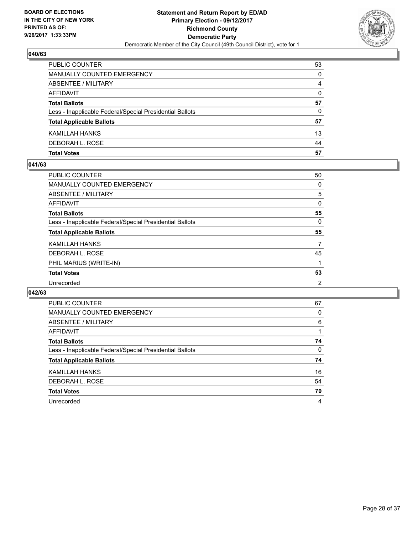

| <b>Total Votes</b>                                       | 57 |
|----------------------------------------------------------|----|
| DEBORAH L. ROSE                                          | 44 |
| KAMILLAH HANKS                                           | 13 |
| <b>Total Applicable Ballots</b>                          | 57 |
| Less - Inapplicable Federal/Special Presidential Ballots | 0  |
| <b>Total Ballots</b>                                     | 57 |
| AFFIDAVIT                                                | 0  |
| <b>ABSENTEE / MILITARY</b>                               | 4  |
| <b>MANUALLY COUNTED EMERGENCY</b>                        | 0  |
| PUBLIC COUNTER                                           | 53 |

## **041/63**

| <b>PUBLIC COUNTER</b>                                    | 50             |
|----------------------------------------------------------|----------------|
| <b>MANUALLY COUNTED EMERGENCY</b>                        | 0              |
| ABSENTEE / MILITARY                                      | 5              |
| AFFIDAVIT                                                | 0              |
| <b>Total Ballots</b>                                     | 55             |
| Less - Inapplicable Federal/Special Presidential Ballots | 0              |
| <b>Total Applicable Ballots</b>                          | 55             |
| KAMILLAH HANKS                                           | 7              |
| DEBORAH L. ROSE                                          | 45             |
| PHIL MARIUS (WRITE-IN)                                   |                |
| <b>Total Votes</b>                                       | 53             |
| Unrecorded                                               | $\overline{2}$ |
|                                                          |                |

| <b>PUBLIC COUNTER</b>                                    | 67 |
|----------------------------------------------------------|----|
| <b>MANUALLY COUNTED EMERGENCY</b>                        | 0  |
| ABSENTEE / MILITARY                                      | 6  |
| AFFIDAVIT                                                |    |
| <b>Total Ballots</b>                                     | 74 |
| Less - Inapplicable Federal/Special Presidential Ballots | 0  |
| <b>Total Applicable Ballots</b>                          | 74 |
| KAMILLAH HANKS                                           | 16 |
| DEBORAH L. ROSE                                          | 54 |
| <b>Total Votes</b>                                       | 70 |
| Unrecorded                                               | 4  |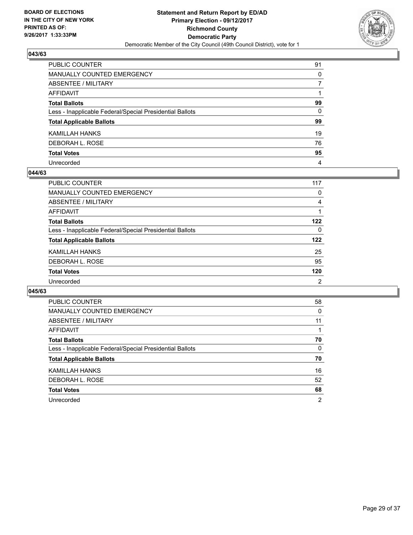

| PUBLIC COUNTER                                           | 91 |
|----------------------------------------------------------|----|
| MANUALLY COUNTED EMERGENCY                               | 0  |
| ABSENTEE / MILITARY                                      | 7  |
| AFFIDAVIT                                                |    |
| Total Ballots                                            | 99 |
| Less - Inapplicable Federal/Special Presidential Ballots | 0  |
| <b>Total Applicable Ballots</b>                          | 99 |
| KAMILLAH HANKS                                           | 19 |
| DEBORAH L. ROSE                                          | 76 |
| <b>Total Votes</b>                                       | 95 |
| Unrecorded                                               | 4  |

#### **044/63**

| PUBLIC COUNTER                                           | 117 |
|----------------------------------------------------------|-----|
| <b>MANUALLY COUNTED EMERGENCY</b>                        | 0   |
| ABSENTEE / MILITARY                                      | 4   |
| AFFIDAVIT                                                |     |
| <b>Total Ballots</b>                                     | 122 |
| Less - Inapplicable Federal/Special Presidential Ballots | 0   |
| <b>Total Applicable Ballots</b>                          | 122 |
| KAMILLAH HANKS                                           | 25  |
| DEBORAH L. ROSE                                          | 95  |
| <b>Total Votes</b>                                       | 120 |
| Unrecorded                                               | 2   |

| <b>PUBLIC COUNTER</b>                                    | 58 |
|----------------------------------------------------------|----|
| <b>MANUALLY COUNTED EMERGENCY</b>                        | 0  |
| ABSENTEE / MILITARY                                      | 11 |
| AFFIDAVIT                                                |    |
| <b>Total Ballots</b>                                     | 70 |
| Less - Inapplicable Federal/Special Presidential Ballots | 0  |
| <b>Total Applicable Ballots</b>                          | 70 |
| KAMILLAH HANKS                                           | 16 |
| DEBORAH L. ROSE                                          | 52 |
| <b>Total Votes</b>                                       | 68 |
| Unrecorded                                               | 2  |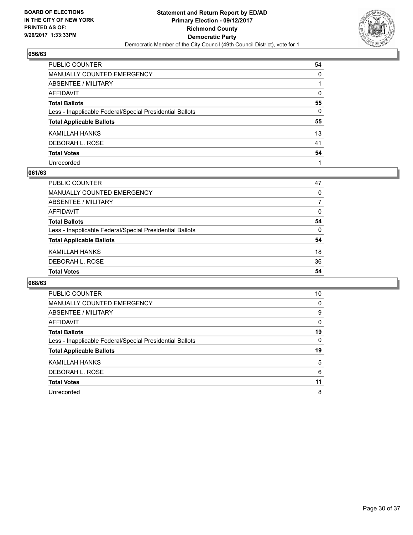

| PUBLIC COUNTER                                           | 54           |
|----------------------------------------------------------|--------------|
| MANUALLY COUNTED EMERGENCY                               | 0            |
| ABSENTEE / MILITARY                                      |              |
| AFFIDAVIT                                                | $\mathbf{0}$ |
| Total Ballots                                            | 55           |
| Less - Inapplicable Federal/Special Presidential Ballots | $\mathbf{0}$ |
| <b>Total Applicable Ballots</b>                          | 55           |
| KAMILLAH HANKS                                           | 13           |
| DEBORAH L. ROSE                                          | 41           |
| <b>Total Votes</b>                                       | 54           |
| Unrecorded                                               |              |

#### **061/63**

| <b>PUBLIC COUNTER</b>                                    | 47 |
|----------------------------------------------------------|----|
| MANUALLY COUNTED EMERGENCY                               | 0  |
| ABSENTEE / MILITARY                                      |    |
| AFFIDAVIT                                                | 0  |
| <b>Total Ballots</b>                                     | 54 |
| Less - Inapplicable Federal/Special Presidential Ballots | 0  |
| <b>Total Applicable Ballots</b>                          | 54 |
| KAMILLAH HANKS                                           | 18 |
| DEBORAH L. ROSE                                          | 36 |
| <b>Total Votes</b>                                       | 54 |

| <b>PUBLIC COUNTER</b>                                    | 10 |
|----------------------------------------------------------|----|
| <b>MANUALLY COUNTED EMERGENCY</b>                        | 0  |
| <b>ABSENTEE / MILITARY</b>                               | 9  |
| AFFIDAVIT                                                | 0  |
| <b>Total Ballots</b>                                     | 19 |
| Less - Inapplicable Federal/Special Presidential Ballots | 0  |
| <b>Total Applicable Ballots</b>                          | 19 |
| KAMILLAH HANKS                                           | 5  |
| DEBORAH L. ROSE                                          | 6  |
|                                                          |    |
| <b>Total Votes</b>                                       | 11 |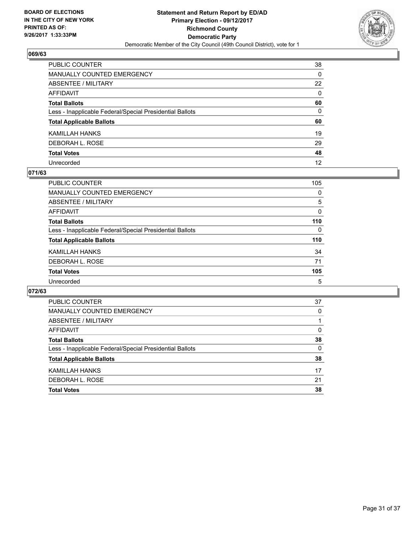

| PUBLIC COUNTER                                           | 38           |
|----------------------------------------------------------|--------------|
| MANUALLY COUNTED EMERGENCY                               | 0            |
| ABSENTEE / MILITARY                                      | 22           |
| AFFIDAVIT                                                | $\mathbf{0}$ |
| Total Ballots                                            | 60           |
| Less - Inapplicable Federal/Special Presidential Ballots | 0            |
| <b>Total Applicable Ballots</b>                          | 60           |
| KAMILLAH HANKS                                           | 19           |
| DEBORAH L. ROSE                                          | 29           |
| <b>Total Votes</b>                                       | 48           |
| Unrecorded                                               | 12           |

### **071/63**

| <b>PUBLIC COUNTER</b>                                    | 105 |
|----------------------------------------------------------|-----|
| <b>MANUALLY COUNTED EMERGENCY</b>                        | 0   |
| ABSENTEE / MILITARY                                      | 5   |
| AFFIDAVIT                                                | 0   |
| <b>Total Ballots</b>                                     | 110 |
| Less - Inapplicable Federal/Special Presidential Ballots | 0   |
| <b>Total Applicable Ballots</b>                          | 110 |
| KAMILLAH HANKS                                           | 34  |
| DEBORAH L. ROSE                                          | 71  |
| <b>Total Votes</b>                                       | 105 |
| Unrecorded                                               | 5   |

| <b>Total Votes</b>                                       | 38 |
|----------------------------------------------------------|----|
| DEBORAH L. ROSE                                          | 21 |
| KAMILLAH HANKS                                           | 17 |
| <b>Total Applicable Ballots</b>                          | 38 |
| Less - Inapplicable Federal/Special Presidential Ballots | 0  |
| <b>Total Ballots</b>                                     | 38 |
| AFFIDAVIT                                                | 0  |
| ABSENTEE / MILITARY                                      |    |
| MANUALLY COUNTED EMERGENCY                               | 0  |
| PUBLIC COUNTER                                           | 37 |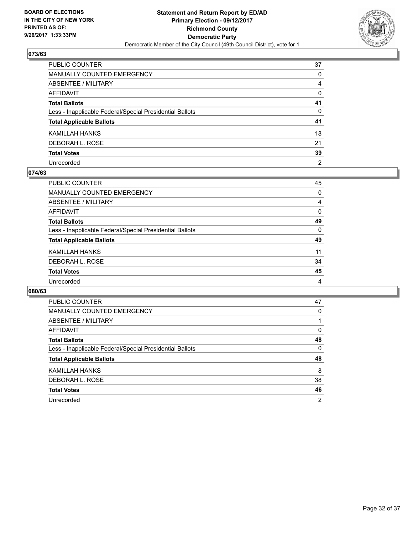

| PUBLIC COUNTER                                           | 37             |
|----------------------------------------------------------|----------------|
| MANUALLY COUNTED EMERGENCY                               | 0              |
| ABSENTEE / MILITARY                                      | 4              |
| AFFIDAVIT                                                | 0              |
| Total Ballots                                            | 41             |
| Less - Inapplicable Federal/Special Presidential Ballots | 0              |
| <b>Total Applicable Ballots</b>                          | 41             |
| KAMILLAH HANKS                                           | 18             |
| DEBORAH L. ROSE                                          | 21             |
| <b>Total Votes</b>                                       | 39             |
| Unrecorded                                               | $\overline{2}$ |

#### **074/63**

| <b>PUBLIC COUNTER</b>                                    | 45       |
|----------------------------------------------------------|----------|
| <b>MANUALLY COUNTED EMERGENCY</b>                        | 0        |
| ABSENTEE / MILITARY                                      | 4        |
| AFFIDAVIT                                                | 0        |
| <b>Total Ballots</b>                                     | 49       |
| Less - Inapplicable Federal/Special Presidential Ballots | $\Omega$ |
| <b>Total Applicable Ballots</b>                          | 49       |
| KAMILLAH HANKS                                           | 11       |
| DEBORAH L. ROSE                                          | 34       |
| <b>Total Votes</b>                                       | 45       |
| Unrecorded                                               | 4        |

| PUBLIC COUNTER                                           | 47 |
|----------------------------------------------------------|----|
| <b>MANUALLY COUNTED EMERGENCY</b>                        | 0  |
| <b>ABSENTEE / MILITARY</b>                               |    |
| AFFIDAVIT                                                | 0  |
| <b>Total Ballots</b>                                     | 48 |
| Less - Inapplicable Federal/Special Presidential Ballots | 0  |
| <b>Total Applicable Ballots</b>                          | 48 |
| <b>KAMILLAH HANKS</b>                                    | 8  |
| DEBORAH L. ROSE                                          | 38 |
| <b>Total Votes</b>                                       | 46 |
| Unrecorded                                               | 2  |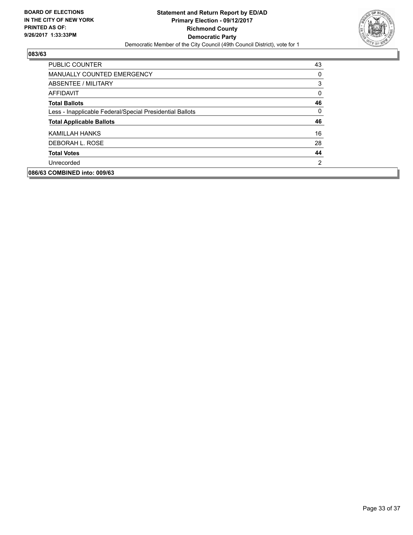

| <b>PUBLIC COUNTER</b>                                    | 43       |
|----------------------------------------------------------|----------|
| <b>MANUALLY COUNTED EMERGENCY</b>                        | 0        |
| ABSENTEE / MILITARY                                      | 3        |
| AFFIDAVIT                                                | $\Omega$ |
| <b>Total Ballots</b>                                     | 46       |
| Less - Inapplicable Federal/Special Presidential Ballots | $\Omega$ |
| <b>Total Applicable Ballots</b>                          | 46       |
| KAMILLAH HANKS                                           | 16       |
| DEBORAH L. ROSE                                          | 28       |
| <b>Total Votes</b>                                       | 44       |
| Unrecorded                                               | 2        |
| 086/63 COMBINED into: 009/63                             |          |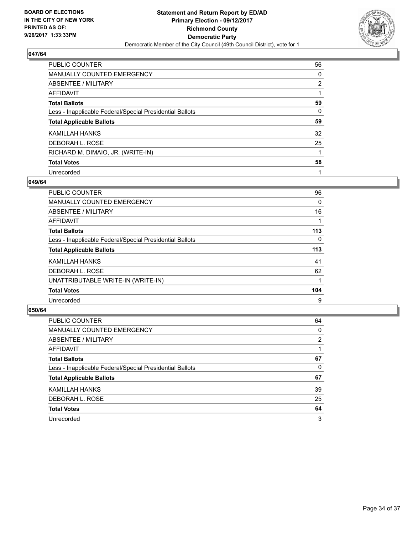

| <b>PUBLIC COUNTER</b>                                    | 56 |
|----------------------------------------------------------|----|
| <b>MANUALLY COUNTED EMERGENCY</b>                        | 0  |
| ABSENTEE / MILITARY                                      | 2  |
| AFFIDAVIT                                                |    |
| <b>Total Ballots</b>                                     | 59 |
| Less - Inapplicable Federal/Special Presidential Ballots | 0  |
| <b>Total Applicable Ballots</b>                          | 59 |
| KAMILLAH HANKS                                           | 32 |
| DEBORAH L. ROSE                                          | 25 |
| RICHARD M. DIMAIO, JR. (WRITE-IN)                        |    |
| <b>Total Votes</b>                                       | 58 |
| Unrecorded                                               |    |

## **049/64**

| <b>PUBLIC COUNTER</b>                                    | 96       |
|----------------------------------------------------------|----------|
| <b>MANUALLY COUNTED EMERGENCY</b>                        | 0        |
| ABSENTEE / MILITARY                                      | 16       |
| <b>AFFIDAVIT</b>                                         |          |
| <b>Total Ballots</b>                                     | 113      |
| Less - Inapplicable Federal/Special Presidential Ballots | $\Omega$ |
| <b>Total Applicable Ballots</b>                          | 113      |
| KAMILLAH HANKS                                           | 41       |
| DEBORAH L. ROSE                                          | 62       |
| UNATTRIBUTABLE WRITE-IN (WRITE-IN)                       |          |
| <b>Total Votes</b>                                       | 104      |
| Unrecorded                                               | 9        |

| <b>PUBLIC COUNTER</b>                                    | 64             |
|----------------------------------------------------------|----------------|
| <b>MANUALLY COUNTED EMERGENCY</b>                        | 0              |
| ABSENTEE / MILITARY                                      | $\overline{2}$ |
| AFFIDAVIT                                                |                |
| <b>Total Ballots</b>                                     | 67             |
| Less - Inapplicable Federal/Special Presidential Ballots | 0              |
| <b>Total Applicable Ballots</b>                          | 67             |
| KAMILLAH HANKS                                           | 39             |
| DEBORAH L. ROSE                                          | 25             |
| <b>Total Votes</b>                                       | 64             |
| Unrecorded                                               | 3              |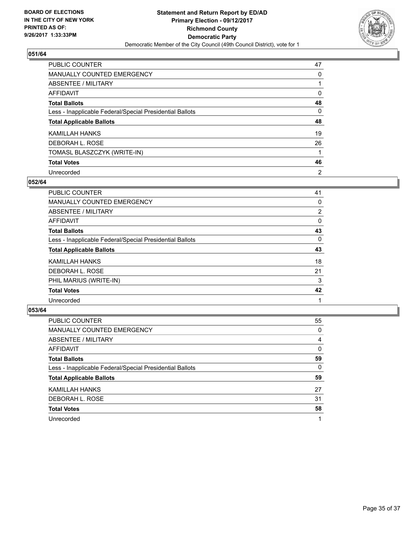

| PUBLIC COUNTER                                           | 47             |
|----------------------------------------------------------|----------------|
| <b>MANUALLY COUNTED EMERGENCY</b>                        | 0              |
| ABSENTEE / MILITARY                                      |                |
| AFFIDAVIT                                                | 0              |
| <b>Total Ballots</b>                                     | 48             |
| Less - Inapplicable Federal/Special Presidential Ballots | 0              |
| <b>Total Applicable Ballots</b>                          | 48             |
| KAMILLAH HANKS                                           | 19             |
| DEBORAH L. ROSE                                          | 26             |
| TOMASL BLASZCZYK (WRITE-IN)                              |                |
| <b>Total Votes</b>                                       | 46             |
| Unrecorded                                               | $\overline{2}$ |

#### **052/64**

| <b>PUBLIC COUNTER</b>                                    | 41             |
|----------------------------------------------------------|----------------|
| <b>MANUALLY COUNTED EMERGENCY</b>                        | 0              |
| ABSENTEE / MILITARY                                      | $\overline{2}$ |
| AFFIDAVIT                                                | 0              |
| <b>Total Ballots</b>                                     | 43             |
| Less - Inapplicable Federal/Special Presidential Ballots | $\Omega$       |
| <b>Total Applicable Ballots</b>                          | 43             |
| KAMILLAH HANKS                                           | 18             |
| DEBORAH L. ROSE                                          | 21             |
| PHIL MARIUS (WRITE-IN)                                   | 3              |
| <b>Total Votes</b>                                       | 42             |
| Unrecorded                                               |                |

| <b>PUBLIC COUNTER</b>                                    | 55 |
|----------------------------------------------------------|----|
| MANUALLY COUNTED EMERGENCY                               | 0  |
| ABSENTEE / MILITARY                                      | 4  |
| AFFIDAVIT                                                | 0  |
| <b>Total Ballots</b>                                     | 59 |
| Less - Inapplicable Federal/Special Presidential Ballots | 0  |
| <b>Total Applicable Ballots</b>                          | 59 |
| KAMILLAH HANKS                                           | 27 |
| DEBORAH L. ROSE                                          | 31 |
| <b>Total Votes</b>                                       | 58 |
| Unrecorded                                               |    |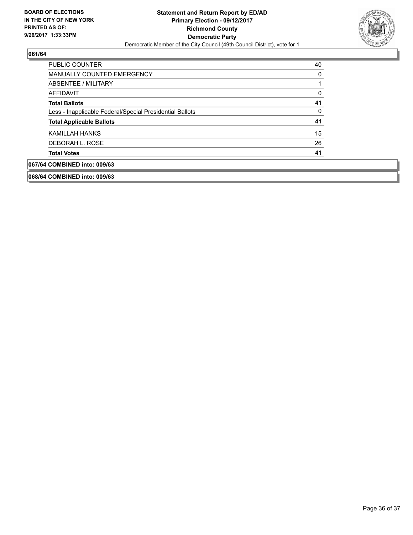

| PUBLIC COUNTER                                           | 40 |
|----------------------------------------------------------|----|
| <b>MANUALLY COUNTED EMERGENCY</b>                        | 0  |
| ABSENTEE / MILITARY                                      |    |
| AFFIDAVIT                                                | 0  |
| <b>Total Ballots</b>                                     | 41 |
| Less - Inapplicable Federal/Special Presidential Ballots | 0  |
| <b>Total Applicable Ballots</b>                          | 41 |
| KAMILLAH HANKS                                           | 15 |
| DEBORAH L. ROSE                                          | 26 |
| <b>Total Votes</b>                                       | 41 |
| 067/64 COMBINED into: 009/63                             |    |

**068/64 COMBINED into: 009/63**